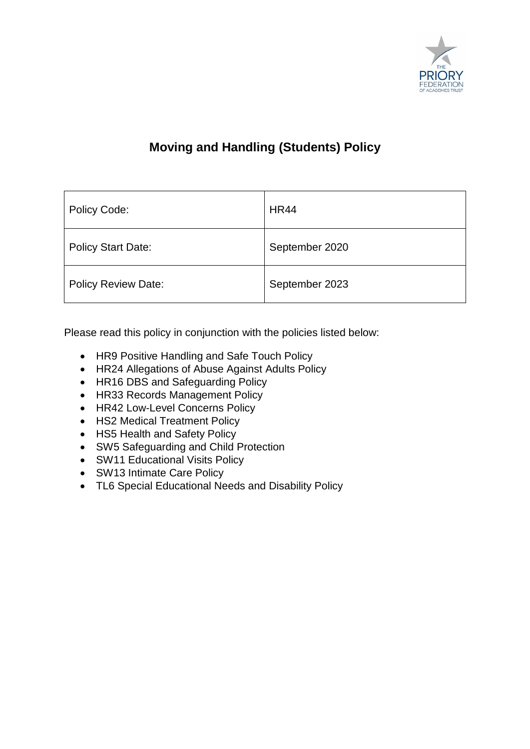

### **Moving and Handling (Students) Policy**

| Policy Code:               | <b>HR44</b>    |
|----------------------------|----------------|
| <b>Policy Start Date:</b>  | September 2020 |
| <b>Policy Review Date:</b> | September 2023 |

Please read this policy in conjunction with the policies listed below:

- HR9 Positive Handling and Safe Touch Policy
- HR24 Allegations of Abuse Against Adults Policy
- HR16 DBS and Safeguarding Policy
- HR33 Records Management Policy
- HR42 Low-Level Concerns Policy
- HS2 Medical Treatment Policy
- HS5 Health and Safety Policy
- SW5 Safeguarding and Child Protection
- SW11 Educational Visits Policy
- SW13 Intimate Care Policy
- TL6 Special Educational Needs and Disability Policy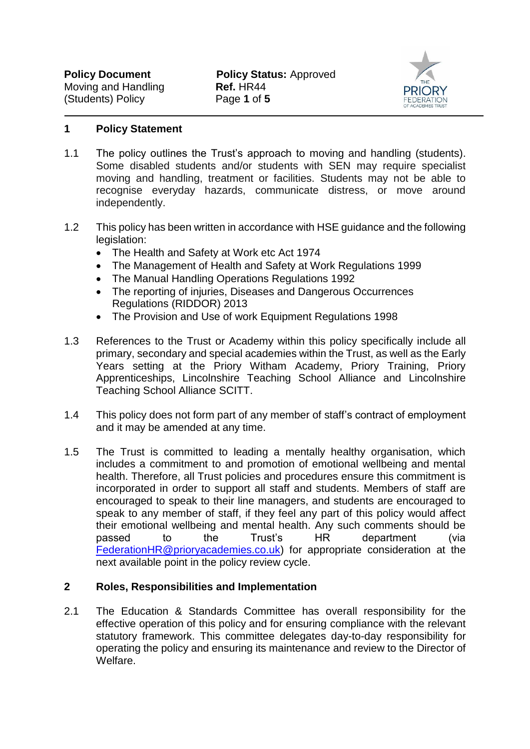

#### **1 Policy Statement**

- 1.1 The policy outlines the Trust's approach to moving and handling (students). Some disabled students and/or students with SEN may require specialist moving and handling, treatment or facilities. Students may not be able to recognise everyday hazards, communicate distress, or move around independently.
- 1.2 This policy has been written in accordance with HSE guidance and the following legislation:
	- The Health and Safety at Work etc Act 1974
	- The Management of Health and Safety at Work Regulations 1999
	- The Manual Handling Operations Regulations 1992
	- The reporting of injuries, Diseases and Dangerous Occurrences Regulations (RIDDOR) 2013
	- The Provision and Use of work Equipment Regulations 1998
- 1.3 References to the Trust or Academy within this policy specifically include all primary, secondary and special academies within the Trust, as well as the Early Years setting at the Priory Witham Academy, Priory Training, Priory Apprenticeships, Lincolnshire Teaching School Alliance and Lincolnshire Teaching School Alliance SCITT.
- 1.4 This policy does not form part of any member of staff's contract of employment and it may be amended at any time.
- 1.5 The Trust is committed to leading a mentally healthy organisation, which includes a commitment to and promotion of emotional wellbeing and mental health. Therefore, all Trust policies and procedures ensure this commitment is incorporated in order to support all staff and students. Members of staff are encouraged to speak to their line managers, and students are encouraged to speak to any member of staff, if they feel any part of this policy would affect their emotional wellbeing and mental health. Any such comments should be passed to the Trust's HR department (via [FederationHR@prioryacademies.co.uk\)](mailto:FederationHR@prioryacademies.co.uk) for appropriate consideration at the next available point in the policy review cycle.

#### **2 Roles, Responsibilities and Implementation**

2.1 The Education & Standards Committee has overall responsibility for the effective operation of this policy and for ensuring compliance with the relevant statutory framework. This committee delegates day-to-day responsibility for operating the policy and ensuring its maintenance and review to the Director of Welfare.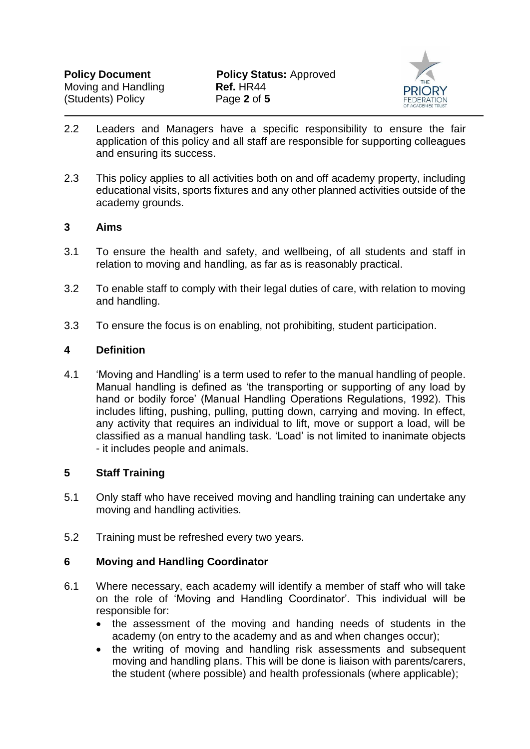

- 2.2 Leaders and Managers have a specific responsibility to ensure the fair application of this policy and all staff are responsible for supporting colleagues and ensuring its success.
- 2.3 This policy applies to all activities both on and off academy property, including educational visits, sports fixtures and any other planned activities outside of the academy grounds.

#### **3 Aims**

- 3.1 To ensure the health and safety, and wellbeing, of all students and staff in relation to moving and handling, as far as is reasonably practical.
- 3.2 To enable staff to comply with their legal duties of care, with relation to moving and handling.
- 3.3 To ensure the focus is on enabling, not prohibiting, student participation.

#### **4 Definition**

4.1 'Moving and Handling' is a term used to refer to the manual handling of people. Manual handling is defined as 'the transporting or supporting of any load by hand or bodily force' (Manual Handling Operations Regulations, 1992). This includes lifting, pushing, pulling, putting down, carrying and moving. In effect, any activity that requires an individual to lift, move or support a load, will be classified as a manual handling task. 'Load' is not limited to inanimate objects - it includes people and animals.

#### **5 Staff Training**

- 5.1 Only staff who have received moving and handling training can undertake any moving and handling activities.
- 5.2 Training must be refreshed every two years.

#### **6 Moving and Handling Coordinator**

- 6.1 Where necessary, each academy will identify a member of staff who will take on the role of 'Moving and Handling Coordinator'. This individual will be responsible for:
	- the assessment of the moving and handing needs of students in the academy (on entry to the academy and as and when changes occur);
	- the writing of moving and handling risk assessments and subsequent moving and handling plans. This will be done is liaison with parents/carers, the student (where possible) and health professionals (where applicable);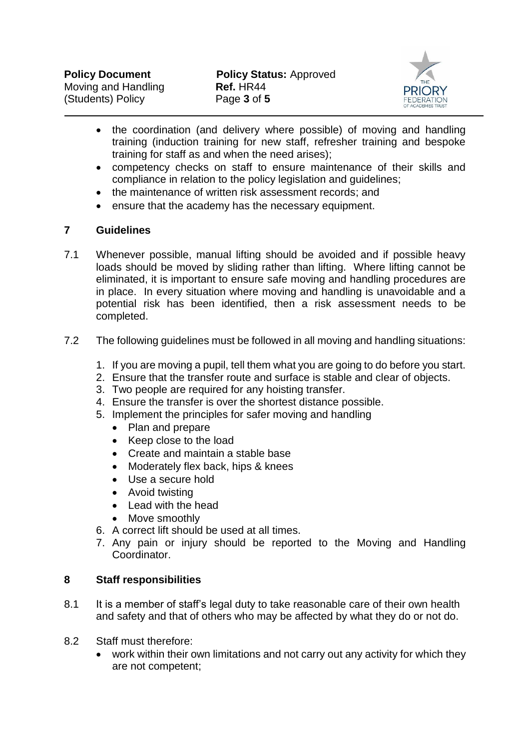

- the coordination (and delivery where possible) of moving and handling training (induction training for new staff, refresher training and bespoke training for staff as and when the need arises);
- competency checks on staff to ensure maintenance of their skills and compliance in relation to the policy legislation and guidelines;
- the maintenance of written risk assessment records; and
- ensure that the academy has the necessary equipment.

#### **7 Guidelines**

- 7.1 Whenever possible, manual lifting should be avoided and if possible heavy loads should be moved by sliding rather than lifting. Where lifting cannot be eliminated, it is important to ensure safe moving and handling procedures are in place. In every situation where moving and handling is unavoidable and a potential risk has been identified, then a risk assessment needs to be completed.
- 7.2 The following guidelines must be followed in all moving and handling situations:
	- 1. If you are moving a pupil, tell them what you are going to do before you start.
	- 2. Ensure that the transfer route and surface is stable and clear of objects.
	- 3. Two people are required for any hoisting transfer.
	- 4. Ensure the transfer is over the shortest distance possible.
	- 5. Implement the principles for safer moving and handling
		- Plan and prepare
		- Keep close to the load
		- Create and maintain a stable base
		- Moderately flex back, hips & knees
		- Use a secure hold
		- Avoid twisting
		- Lead with the head
		- Move smoothly
	- 6. A correct lift should be used at all times.
	- 7. Any pain or injury should be reported to the Moving and Handling Coordinator.

#### **8 Staff responsibilities**

- 8.1 It is a member of staff's legal duty to take reasonable care of their own health and safety and that of others who may be affected by what they do or not do.
- 8.2 Staff must therefore:
	- work within their own limitations and not carry out any activity for which they are not competent;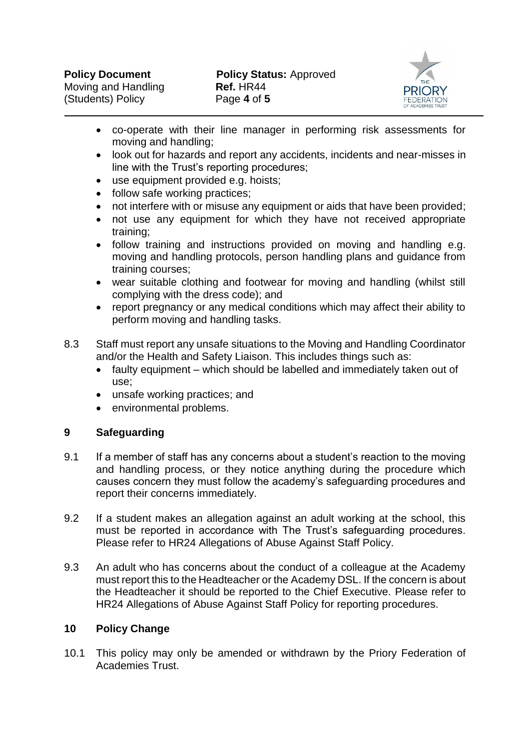

- co-operate with their line manager in performing risk assessments for moving and handling;
- look out for hazards and report any accidents, incidents and near-misses in line with the Trust's reporting procedures;
- use equipment provided e.g. hoists;
- follow safe working practices:
- not interfere with or misuse any equipment or aids that have been provided;
- not use any equipment for which they have not received appropriate training;
- follow training and instructions provided on moving and handling e.g. moving and handling protocols, person handling plans and guidance from training courses;
- wear suitable clothing and footwear for moving and handling (whilst still complying with the dress code); and
- report pregnancy or any medical conditions which may affect their ability to perform moving and handling tasks.
- 8.3 Staff must report any unsafe situations to the Moving and Handling Coordinator and/or the Health and Safety Liaison. This includes things such as:
	- faulty equipment which should be labelled and immediately taken out of use;
	- unsafe working practices; and
	- environmental problems.

#### **9 Safeguarding**

- 9.1 If a member of staff has any concerns about a student's reaction to the moving and handling process, or they notice anything during the procedure which causes concern they must follow the academy's safeguarding procedures and report their concerns immediately.
- 9.2 If a student makes an allegation against an adult working at the school, this must be reported in accordance with The Trust's safeguarding procedures. Please refer to HR24 Allegations of Abuse Against Staff Policy.
- 9.3 An adult who has concerns about the conduct of a colleague at the Academy must report this to the Headteacher or the Academy DSL. If the concern is about the Headteacher it should be reported to the Chief Executive. Please refer to HR24 Allegations of Abuse Against Staff Policy for reporting procedures.

#### **10 Policy Change**

10.1 This policy may only be amended or withdrawn by the Priory Federation of Academies Trust.